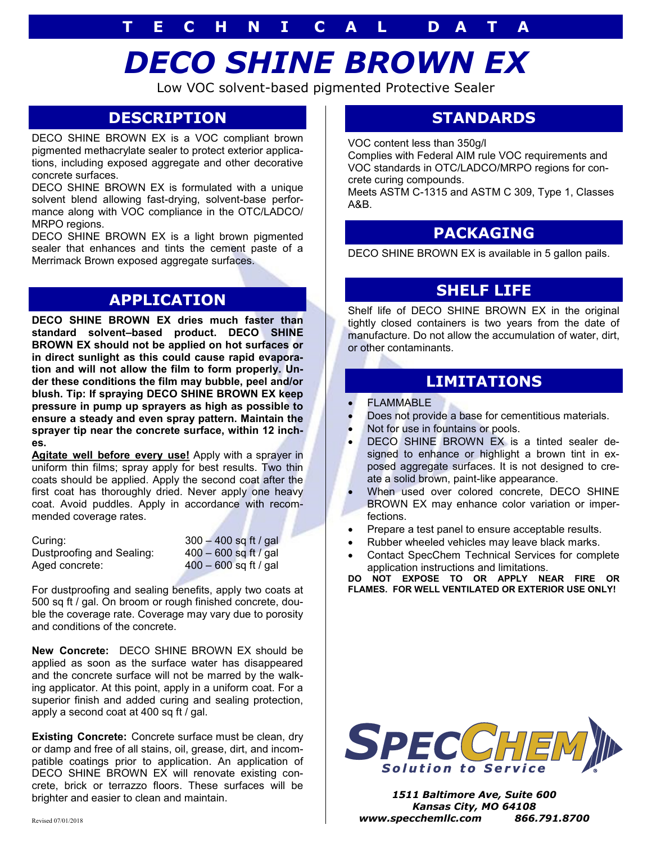# **T E C H N I C A L D A T A**

# *DECO SHINE BROWN EX*

Low VOC solvent-based pigmented Protective Sealer

## **DESCRIPTION**

DECO SHINE BROWN EX is a VOC compliant brown pigmented methacrylate sealer to protect exterior applications, including exposed aggregate and other decorative concrete surfaces.

DECO SHINE BROWN EX is formulated with a unique solvent blend allowing fast-drying, solvent-base performance along with VOC compliance in the OTC/LADCO/ MRPO regions.

DECO SHINE BROWN EX is a light brown pigmented sealer that enhances and tints the cement paste of a Merrimack Brown exposed aggregate surfaces.

# **APPLICATION**

**DECO SHINE BROWN EX dries much faster than standard solvent–based product. DECO SHINE BROWN EX should not be applied on hot surfaces or in direct sunlight as this could cause rapid evaporation and will not allow the film to form properly. Under these conditions the film may bubble, peel and/or blush. Tip: If spraying DECO SHINE BROWN EX keep pressure in pump up sprayers as high as possible to ensure a steady and even spray pattern. Maintain the sprayer tip near the concrete surface, within 12 inches.**

**Agitate well before every use!** Apply with a sprayer in uniform thin films; spray apply for best results. Two thin coats should be applied. Apply the second coat after the first coat has thoroughly dried. Never apply one heavy coat. Avoid puddles. Apply in accordance with recommended coverage rates.

Curing: 300 – 400 sq ft / gal Dustproofing and Sealing: 400 – 600 sq ft / gal Aged concrete: 400 – 600 sq ft / gal

For dustproofing and sealing benefits, apply two coats at 500 sq ft / gal. On broom or rough finished concrete, double the coverage rate. Coverage may vary due to porosity and conditions of the concrete.

**New Concrete:** DECO SHINE BROWN EX should be applied as soon as the surface water has disappeared and the concrete surface will not be marred by the walking applicator. At this point, apply in a uniform coat. For a superior finish and added curing and sealing protection, apply a second coat at 400 sq ft / gal.

**Existing Concrete:** Concrete surface must be clean, dry or damp and free of all stains, oil, grease, dirt, and incompatible coatings prior to application. An application of DECO SHINE BROWN EX will renovate existing concrete, brick or terrazzo floors. These surfaces will be brighter and easier to clean and maintain.

# **STANDARDS**

VOC content less than 350g/l

Complies with Federal AIM rule VOC requirements and VOC standards in OTC/LADCO/MRPO regions for concrete curing compounds.

Meets ASTM C-1315 and ASTM C 309, Type 1, Classes A&B.

## **PACKAGING**

DECO SHINE BROWN EX is available in 5 gallon pails.

## **SHELF LIFE**

Shelf life of DECO SHINE BROWN EX in the original tightly closed containers is two years from the date of manufacture. Do not allow the accumulation of water, dirt, or other contaminants.

### **LIMITATIONS**

- **FLAMMABLE**
- Does not provide a base for cementitious materials.
- Not for use in fountains or pools.
- DECO SHINE BROWN EX is a tinted sealer designed to enhance or highlight a brown tint in exposed aggregate surfaces. It is not designed to create a solid brown, paint-like appearance.
- When used over colored concrete, DECO SHINE BROWN EX may enhance color variation or imperfections.
- Prepare a test panel to ensure acceptable results.
- Rubber wheeled vehicles may leave black marks.
- Contact SpecChem Technical Services for complete application instructions and limitations.

**DO NOT EXPOSE TO OR APPLY NEAR FIRE OR FLAMES. FOR WELL VENTILATED OR EXTERIOR USE ONLY!**



*1511 Baltimore Ave, Suite 600 Kansas City, MO 64108* **Revised 07/01/2018 <b>and 2.5 and 2.6 and 2.6 and 2.6 and 2.6 and 2.6 and 2.6 and 2.6 and 2.6 and 2.6 and 2.6 and 2.6 and 2.6 and 2.6 and 2.6 and 2.6 and 2.6 and 2.6 and 2.6 and 2.6 and 2.6 and 2.6 and 2.6 and 2.6 and 2.6 a**